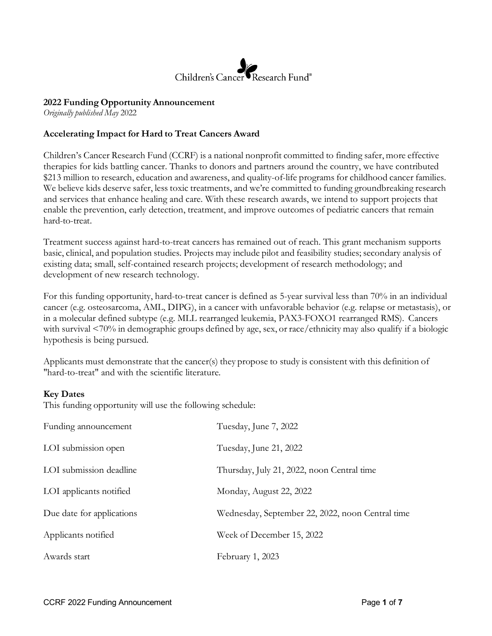

### **2022 Funding Opportunity Announcement**

*Originally published May* 2022

### **Accelerating Impact for Hard to Treat Cancers Award**

Children's Cancer Research Fund (CCRF) is a national nonprofit committed to finding safer, more effective therapies for kids battling cancer. Thanks to donors and partners around the country, we have contributed \$213 million to research, education and awareness, and quality-of-life programs for childhood cancer families. We believe kids deserve safer, less toxic treatments, and we're committed to funding groundbreaking research and services that enhance healing and care. With these research awards, we intend to support projects that enable the prevention, early detection, treatment, and improve outcomes of pediatric cancers that remain hard-to-treat.

Treatment success against hard-to-treat cancers has remained out of reach. This grant mechanism supports basic, clinical, and population studies. Projects may include pilot and feasibility studies; secondary analysis of existing data; small, self-contained research projects; development of research methodology; and development of new research technology.

For this funding opportunity, hard-to-treat cancer is defined as 5-year survival less than 70% in an individual cancer (e.g. osteosarcoma, AML, DIPG), in a cancer with unfavorable behavior (e.g. relapse or metastasis), or in a molecular defined subtype (e.g. MLL rearranged leukemia, PAX3-FOXO1 rearranged RMS). Cancers with survival <70% in demographic groups defined by age, sex, or race/ethnicity may also qualify if a biologic hypothesis is being pursued.

Applicants must demonstrate that the cancer(s) they propose to study is consistent with this definition of "hard-to-treat" and with the scientific literature.

### **Key Dates**

This funding opportunity will use the following schedule:

| Funding announcement      | Tuesday, June 7, 2022                            |
|---------------------------|--------------------------------------------------|
| LOI submission open       | Tuesday, June 21, 2022                           |
| LOI submission deadline   | Thursday, July 21, 2022, noon Central time       |
| LOI applicants notified   | Monday, August 22, 2022                          |
| Due date for applications | Wednesday, September 22, 2022, noon Central time |
| Applicants notified       | Week of December 15, 2022                        |
| Awards start              | February 1, 2023                                 |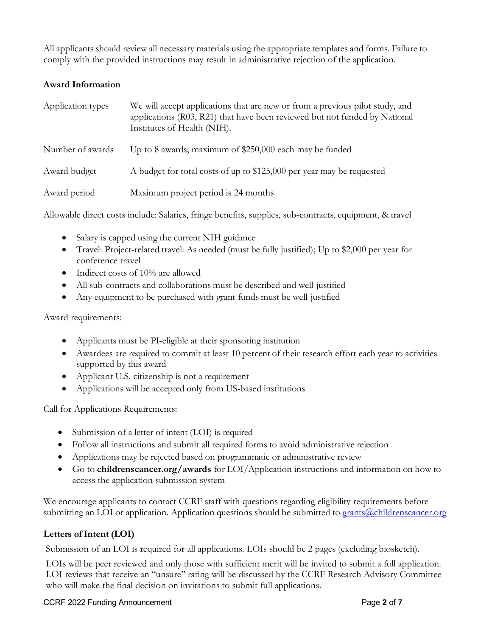All applicants should review all necessary materials using the appropriate templates and forms. Failure to comply with the provided instructions may result in administrative rejection of the application.

# **Award Information**

| Application types | We will accept applications that are new or from a previous pilot study, and<br>applications (R03, R21) that have been reviewed but not funded by National<br>Institutes of Health (NIH). |
|-------------------|-------------------------------------------------------------------------------------------------------------------------------------------------------------------------------------------|
| Number of awards  | Up to 8 awards; maximum of \$250,000 each may be funded                                                                                                                                   |
| Award budget      | A budget for total costs of up to \$125,000 per year may be requested                                                                                                                     |
| Award period      | Maximum project period is 24 months                                                                                                                                                       |

Allowable direct costs include: Salaries, fringe benefits, supplies, sub-contracts, equipment, & travel

- Salary is capped using the current NIH guidance
- Travel: Project-related travel: As needed (must be fully justified); Up to \$2,000 per year for conference travel
- Indirect costs of 10% are allowed
- All sub-contracts and collaborations must be described and well-justified
- Any equipment to be purchased with grant funds must be well-justified

Award requirements:

- Applicants must be PI-eligible at their sponsoring institution
- Awardees are required to commit at least 10 percent of their research effort each year to activities supported by this award
- Applicant U.S. citizenship is not a requirement
- Applications will be accepted only from US-based institutions

Call for Applications Requirements:

- Submission of a letter of intent (LOI) is required
- Follow all instructions and submit all required forms to avoid administrative rejection
- Applications may be rejected based on programmatic or administrative review
- Go to **childrenscancer.org/awards** for LOI/Application instructions and information on how to access the application submission system

We encourage applicants to contact CCRF staff with questions regarding eligibility requirements before submitting an LOI or application. Application questions should be submitted to [grants@childrenscancer.org](mailto:grants@childrenscancer.org)

# Letters of Intent (LOI)

Submission of an LOI is required for all applications. LOIs should be 2 pages (excluding biosketch).

LOIs will be peer reviewed and only those with sufficient merit will be invited to submit a full application. LOI reviews that receive an "unsure" rating will be discussed by the CCRF Research Advisory Committee who will make the final decision on invitations to submit full applications.

#### CCRF 2022 Funding Announcement Page **2** of **7**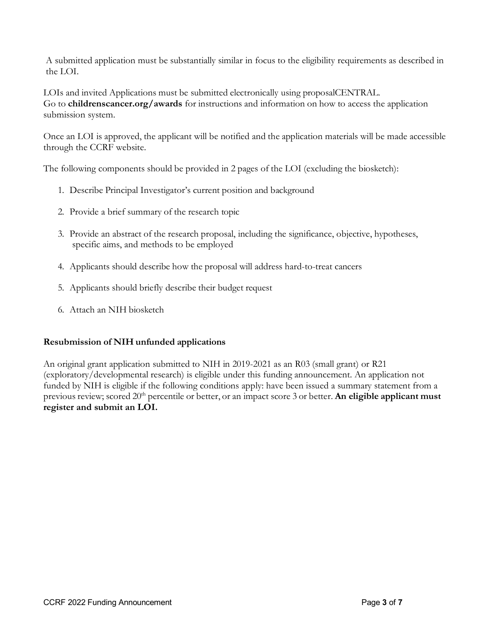A submitted application must be substantially similar in focus to the eligibility requirements as described in the LOI.

LOIs and invited Applications must be submitted electronically using proposalCENTRAL. Go to **childrenscancer.org/awards** for instructions and information on how to access the application submission system.

Once an LOI is approved, the applicant will be notified and the application materials will be made accessible through the CCRF website.

The following components should be provided in 2 pages of the LOI (excluding the biosketch):

- 1. Describe Principal Investigator's current position and background
- 2. Provide a brief summary of the research topic
- 3. Provide an abstract of the research proposal, including the significance, objective, hypotheses, specific aims, and methods to be employed
- 4. Applicants should describe how the proposal will address hard-to-treat cancers
- 5. Applicants should briefly describe their budget request
- 6. Attach an NIH biosketch

### **Resubmission of NIH unfunded applications**

An original grant application submitted to NIH in 2019-2021 as an R03 (small grant) or R21 (exploratory/developmental research) is eligible under this funding announcement. An application not funded by NIH is eligible if the following conditions apply: have been issued a summary statement from a previous review; scored 20<sup>th</sup> percentile or better, or an impact score 3 or better. An eligible applicant must **register and submit an LOI.**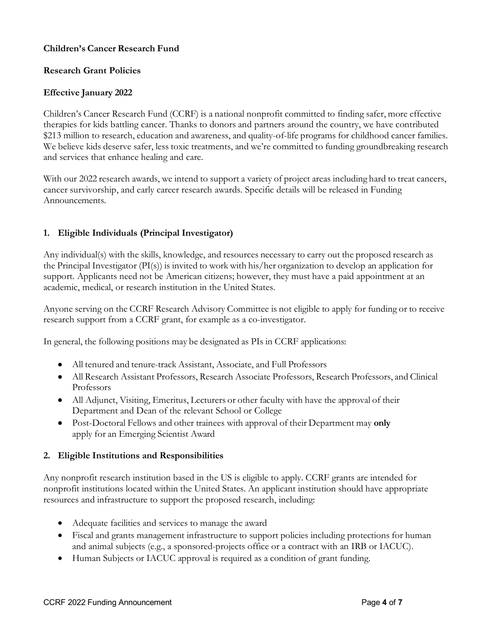## **Children's Cancer Research Fund**

### **Research Grant Policies**

## **Effective January 2022**

Children's Cancer Research Fund (CCRF) is a national nonprofit committed to finding safer, more effective therapies for kids battling cancer. Thanks to donors and partners around the country, we have contributed \$213 million to research, education and awareness, and quality-of-life programs for childhood cancer families. We believe kids deserve safer, less toxic treatments, and we're committed to funding groundbreaking research and services that enhance healing and care.

With our 2022 research awards, we intend to support a variety of project areas including hard to treat cancers, cancer survivorship, and early career research awards. Specific details will be released in Funding Announcements.

## **1. Eligible Individuals (Principal Investigator)**

Any individual(s) with the skills, knowledge, and resources necessary to carry out the proposed research as the Principal Investigator (PI(s)) is invited to work with his/her organization to develop an application for support. Applicants need not be American citizens; however, they must have a paid appointment at an academic, medical, or research institution in the United States.

Anyone serving on the CCRF Research Advisory Committee is not eligible to apply for funding or to receive research support from a CCRF grant, for example as a co-investigator.

In general, the following positions may be designated as PIs in CCRF applications:

- All tenured and tenure-track Assistant, Associate, and Full Professors
- All Research Assistant Professors, Research Associate Professors, Research Professors, and Clinical Professors
- All Adjunct, Visiting, Emeritus, Lecturers or other faculty with have the approval of their Department and Dean of the relevant School or College
- Post-Doctoral Fellows and other trainees with approval of their Department may **only** apply for an Emerging Scientist Award

### **2. Eligible Institutions and Responsibilities**

Any nonprofit research institution based in the US is eligible to apply. CCRF grants are intended for nonprofit institutions located within the United States. An applicant institution should have appropriate resources and infrastructure to support the proposed research, including:

- Adequate facilities and services to manage the award
- Fiscal and grants management infrastructure to support policies including protections for human and animal subjects (e.g., a sponsored-projects office or a contract with an IRB or IACUC).
- Human Subjects or IACUC approval is required as a condition of grant funding.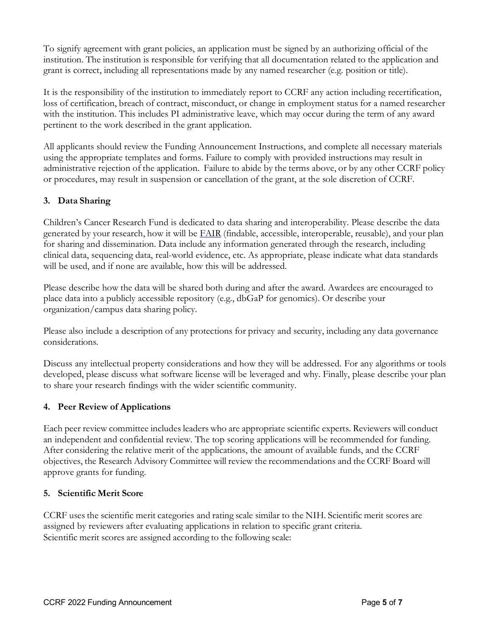To signify agreement with grant policies, an application must be signed by an authorizing official of the institution. The institution is responsible for verifying that all documentation related to the application and grant is correct, including all representations made by any named researcher (e.g. position or title).

It is the responsibility of the institution to immediately report to CCRF any action including recertification, loss of certification, breach of contract, misconduct, or change in employment status for a named researcher with the institution. This includes PI administrative leave, which may occur during the term of any award pertinent to the work described in the grant application.

All applicants should review the Funding Announcement Instructions, and complete all necessary materials using the appropriate templates and forms. Failure to comply with provided instructions may result in administrative rejection of the application. Failure to abide by the terms above, or by any other CCRF policy or procedures, may result in suspension or cancellation of the grant, at the sole discretion of CCRF.

# **3. Data Sharing**

Children's Cancer Research Fund is dedicated to data sharing and interoperability. Please describe the data generated by your research, how it will be [FAIR](https://nam04.safelinks.protection.outlook.com/?url=https%3A%2F%2Fen.wikipedia.org%2Fwiki%2FFAIR_data&data=04%7C01%7Chthompson%40childrenscancer.org%7Caf44b1e530854f983e4e08d932919e45%7C18e4c2b8f8f14f3b824b7b352b1e7f31%7C1%7C0%7C637596423272140712%7CUnknown%7CTWFpbGZsb3d8eyJWIjoiMC4wLjAwMDAiLCJQIjoiV2luMzIiLCJBTiI6Ik1haWwiLCJXVCI6Mn0%3D%7C1000&sdata=wdvxtY%2BQXt2Iga7OUqpIEL2bcdpJxSUaN87yhmotJHk%3D&reserved=0) (findable, accessible, interoperable, reusable), and your plan for sharing and dissemination. Data include any information generated through the research, including clinical data, sequencing data, real-world evidence, etc. As appropriate, please indicate what data standards will be used, and if none are available, how this will be addressed.

Please describe how the data will be shared both during and after the award. Awardees are encouraged to place data into a publicly accessible repository (e.g., dbGaP for genomics). Or describe your organization/campus data sharing policy.

Please also include a description of any protections for privacy and security, including any data governance considerations.

Discuss any intellectual property considerations and how they will be addressed. For any algorithms or tools developed, please discuss what software license will be leveraged and why. Finally, please describe your plan to share your research findings with the wider scientific community.

### **4. Peer Review of Applications**

Each peer review committee includes leaders who are appropriate scientific experts. Reviewers will conduct an independent and confidential review. The top scoring applications will be recommended for funding. After considering the relative merit of the applications, the amount of available funds, and the CCRF objectives, the Research Advisory Committee will review the recommendations and the CCRF Board will approve grants for funding.

### **5. Scientific Merit Score**

CCRF uses the scientific merit categories and rating scale similar to the NIH. Scientific merit scores are assigned by reviewers after evaluating applications in relation to specific grant criteria. Scientific merit scores are assigned according to the following scale: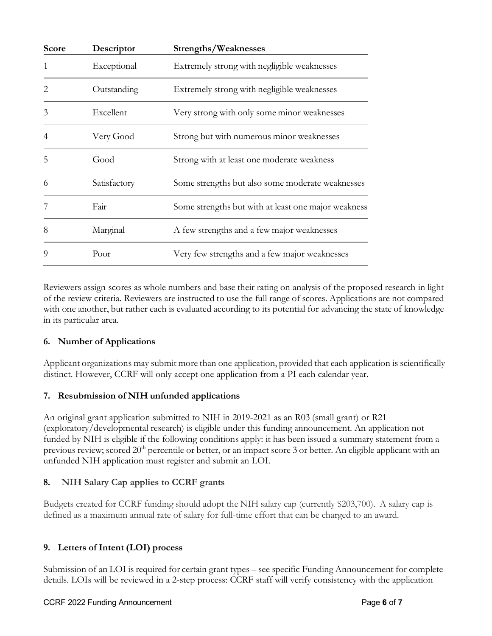| Score                       | Descriptor   | Strengths/Weaknesses                                |
|-----------------------------|--------------|-----------------------------------------------------|
|                             | Exceptional  | Extremely strong with negligible weaknesses         |
| $\mathcal{D}_{\mathcal{L}}$ | Outstanding  | Extremely strong with negligible weaknesses         |
| 3                           | Excellent    | Very strong with only some minor weaknesses         |
| 4                           | Very Good    | Strong but with numerous minor weaknesses           |
| 5                           | Good         | Strong with at least one moderate weakness          |
| 6                           | Satisfactory | Some strengths but also some moderate weaknesses    |
|                             | Fair         | Some strengths but with at least one major weakness |
| 8                           | Marginal     | A few strengths and a few major weaknesses          |
| $\Omega$                    | Poor         | Very few strengths and a few major weaknesses       |

Reviewers assign scores as whole numbers and base their rating on analysis of the proposed research in light of the review criteria. Reviewers are instructed to use the full range of scores. Applications are not compared with one another, but rather each is evaluated according to its potential for advancing the state of knowledge in its particular area.

# **6. Number of Applications**

Applicant organizations may submit more than one application, provided that each application is scientifically distinct. However, CCRF will only accept one application from a PI each calendar year.

# **7. Resubmission of NIH unfunded applications**

An original grant application submitted to NIH in 2019-2021 as an R03 (small grant) or R21 (exploratory/developmental research) is eligible under this funding announcement. An application not funded by NIH is eligible if the following conditions apply: it has been issued a summary statement from a previous review; scored 20<sup>th</sup> percentile or better, or an impact score 3 or better. An eligible applicant with an unfunded NIH application must register and submit an LOI.

# **8. NIH Salary Cap applies to CCRF grants**

Budgets created for CCRF funding should adopt the NIH salary cap (currently \$203,700). A salary cap is defined as a maximum annual rate of salary for full-time effort that can be charged to an award.

# **9. Letters of Intent (LOI) process**

Submission of an LOI is required for certain grant types – see specific Funding Announcement for complete details. LOIs will be reviewed in a 2-step process: CCRF staff will verify consistency with the application